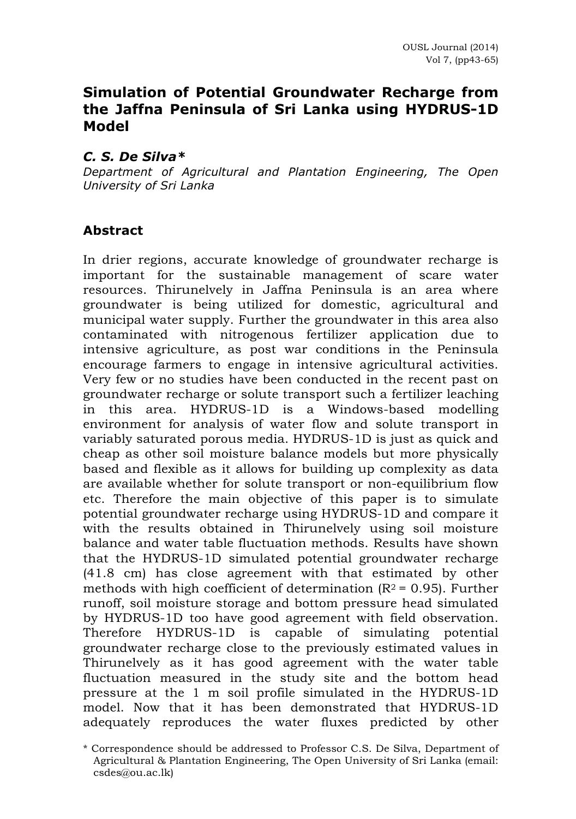# **Simulation of Potential Groundwater Recharge from the Jaffna Peninsula of Sri Lanka using HYDRUS-1D Model**

#### *C. S. De Silva\**

*Department of Agricultural and Plantation Engineering, The Open University of Sri Lanka*

#### **Abstract**

In drier regions, accurate knowledge of groundwater recharge is important for the sustainable management of scare water resources. Thirunelvely in Jaffna Peninsula is an area where groundwater is being utilized for domestic, agricultural and municipal water supply. Further the groundwater in this area also contaminated with nitrogenous fertilizer application due to intensive agriculture, as post war conditions in the Peninsula encourage farmers to engage in intensive agricultural activities. Very few or no studies have been conducted in the recent past on groundwater recharge or solute transport such a fertilizer leaching in this area. HYDRUS-1D is a Windows-based modelling environment for analysis of water flow and solute transport in variably saturated porous media. HYDRUS-1D is just as quick and cheap as other soil moisture balance models but more physically based and flexible as it allows for building up complexity as data are available whether for solute transport or non-equilibrium flow etc. Therefore the main objective of this paper is to simulate potential groundwater recharge using HYDRUS-1D and compare it with the results obtained in Thirunelvely using soil moisture balance and water table fluctuation methods. Results have shown that the HYDRUS-1D simulated potential groundwater recharge (41.8 cm) has close agreement with that estimated by other methods with high coefficient of determination  $(R^2 = 0.95)$ . Further runoff, soil moisture storage and bottom pressure head simulated by HYDRUS-1D too have good agreement with field observation. Therefore HYDRUS-1D is capable of simulating potential groundwater recharge close to the previously estimated values in Thirunelvely as it has good agreement with the water table fluctuation measured in the study site and the bottom head pressure at the 1 m soil profile simulated in the HYDRUS-1D model. Now that it has been demonstrated that HYDRUS-1D adequately reproduces the water fluxes predicted by other

<sup>\*</sup> Correspondence should be addressed to Professor C.S. De Silva, Department of Agricultural & Plantation Engineering, The Open University of Sri Lanka (email: csdes@ou.ac.lk)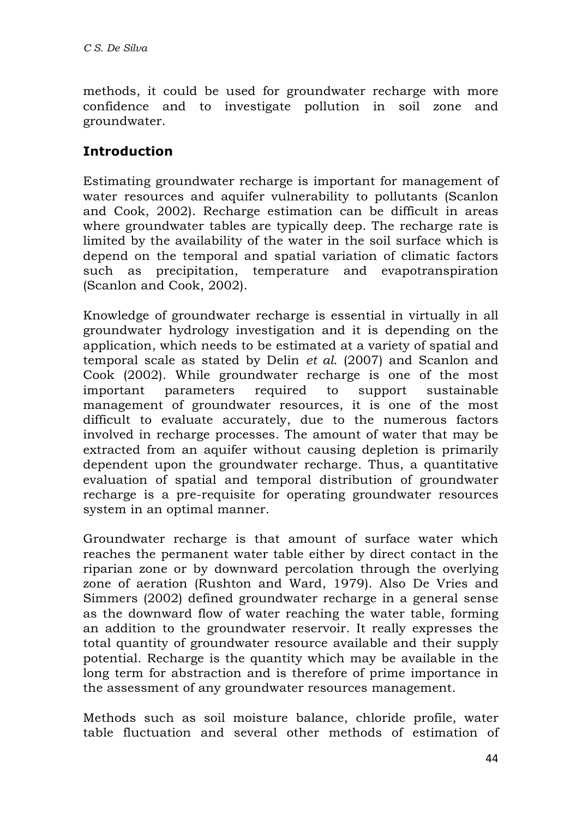methods, it could be used for groundwater recharge with more confidence and to investigate pollution in soil zone and groundwater.

# **Introduction**

Estimating groundwater recharge is important for management of water resources and aquifer vulnerability to pollutants (Scanlon and Cook, 2002). Recharge estimation can be difficult in areas where groundwater tables are typically deep. The recharge rate is limited by the availability of the water in the soil surface which is depend on the temporal and spatial variation of climatic factors such as precipitation, temperature and evapotranspiration (Scanlon and Cook, 2002).

Knowledge of groundwater recharge is essential in virtually in all groundwater hydrology investigation and it is depending on the application, which needs to be estimated at a variety of spatial and temporal scale as stated by Delin *et al*. (2007) and Scanlon and Cook (2002). While groundwater recharge is one of the most important parameters required to support sustainable management of groundwater resources, it is one of the most difficult to evaluate accurately, due to the numerous factors involved in recharge processes. The amount of water that may be extracted from an aquifer without causing depletion is primarily dependent upon the groundwater recharge. Thus, a quantitative evaluation of spatial and temporal distribution of groundwater recharge is a pre-requisite for operating groundwater resources system in an optimal manner.

Groundwater recharge is that amount of surface water which reaches the permanent water table either by direct contact in the riparian zone or by downward percolation through the overlying zone of aeration (Rushton and Ward, 1979). Also De Vries and Simmers (2002) defined groundwater recharge in a general sense as the downward flow of water reaching the water table, forming an addition to the groundwater reservoir. It really expresses the total quantity of groundwater resource available and their supply potential. Recharge is the quantity which may be available in the long term for abstraction and is therefore of prime importance in the assessment of any groundwater resources management.

Methods such as soil moisture balance, chloride profile, water table fluctuation and several other methods of estimation of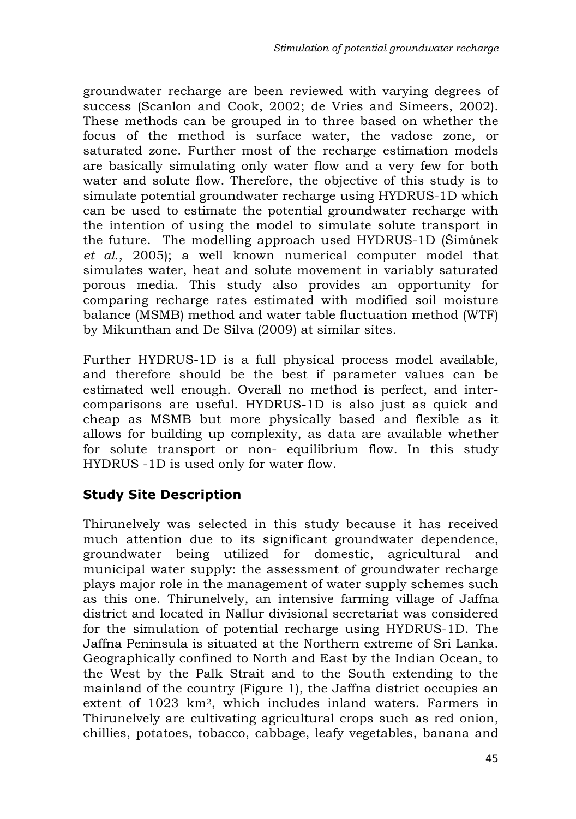groundwater recharge are been reviewed with varying degrees of success (Scanlon and Cook, 2002; de Vries and Simeers, 2002). These methods can be grouped in to three based on whether the focus of the method is surface water, the vadose zone, or saturated zone. Further most of the recharge estimation models are basically simulating only water flow and a very few for both water and solute flow. Therefore, the objective of this study is to simulate potential groundwater recharge using HYDRUS-1D which can be used to estimate the potential groundwater recharge with the intention of using the model to simulate solute transport in the future. The modelling approach used HYDRUS-1D (Šimůnek *et al*., 2005); a well known numerical computer model that simulates water, heat and solute movement in variably saturated porous media. This study also provides an opportunity for comparing recharge rates estimated with modified soil moisture balance (MSMB) method and water table fluctuation method (WTF) by Mikunthan and De Silva (2009) at similar sites.

Further HYDRUS-1D is a full physical process model available, and therefore should be the best if parameter values can be estimated well enough. Overall no method is perfect, and intercomparisons are useful. HYDRUS-1D is also just as quick and cheap as MSMB but more physically based and flexible as it allows for building up complexity, as data are available whether for solute transport or non- equilibrium flow. In this study HYDRUS -1D is used only for water flow.

## **Study Site Description**

Thirunelvely was selected in this study because it has received much attention due to its significant groundwater dependence, groundwater being utilized for domestic, agricultural and municipal water supply: the assessment of groundwater recharge plays major role in the management of water supply schemes such as this one. Thirunelvely, an intensive farming village of Jaffna district and located in Nallur divisional secretariat was considered for the simulation of potential recharge using HYDRUS-1D. The Jaffna Peninsula is situated at the Northern extreme of Sri Lanka. Geographically confined to North and East by the Indian Ocean, to the West by the Palk Strait and to the South extending to the mainland of the country (Figure 1), the Jaffna district occupies an extent of 1023 km2, which includes inland waters. Farmers in Thirunelvely are cultivating agricultural crops such as red onion, chillies, potatoes, tobacco, cabbage, leafy vegetables, banana and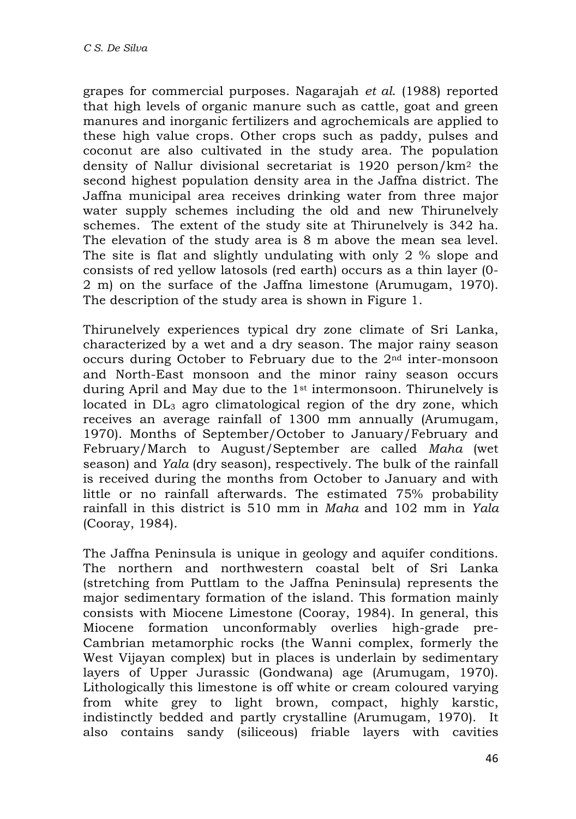grapes for commercial purposes. Nagarajah *et al*. (1988) reported that high levels of organic manure such as cattle, goat and green manures and inorganic fertilizers and agrochemicals are applied to these high value crops. Other crops such as paddy, pulses and coconut are also cultivated in the study area. The population density of Nallur divisional secretariat is 1920 person/km2 the second highest population density area in the Jaffna district. The Jaffna municipal area receives drinking water from three major water supply schemes including the old and new Thirunelvely schemes. The extent of the study site at Thirunelvely is 342 ha. The elevation of the study area is 8 m above the mean sea level. The site is flat and slightly undulating with only 2 % slope and consists of red yellow latosols (red earth) occurs as a thin layer (0- 2 m) on the surface of the Jaffna limestone (Arumugam, 1970). The description of the study area is shown in Figure 1.

Thirunelvely experiences typical dry zone climate of Sri Lanka, characterized by a wet and a dry season. The major rainy season occurs during October to February due to the  $2<sup>nd</sup>$  inter-monsoon and North-East monsoon and the minor rainy season occurs during April and May due to the 1st intermonsoon. Thirunelvely is located in  $DL<sub>3</sub>$  agro climatological region of the dry zone, which receives an average rainfall of 1300 mm annually (Arumugam, 1970). Months of September/October to January/February and February/March to August/September are called *Maha* (wet season) and *Yala* (dry season), respectively. The bulk of the rainfall is received during the months from October to January and with little or no rainfall afterwards. The estimated 75% probability rainfall in this district is 510 mm in *Maha* and 102 mm in *Yala* (Cooray, 1984).

The Jaffna Peninsula is unique in geology and aquifer conditions. The northern and northwestern coastal belt of Sri Lanka (stretching from Puttlam to the Jaffna Peninsula) represents the major sedimentary formation of the island. This formation mainly consists with Miocene Limestone (Cooray, 1984). In general, this Miocene formation unconformably overlies high-grade pre-Cambrian metamorphic rocks (the Wanni complex, formerly the West Vijayan complex) but in places is underlain by sedimentary layers of Upper Jurassic (Gondwana) age (Arumugam, 1970). Lithologically this limestone is off white or cream coloured varying from white grey to light brown, compact, highly karstic, indistinctly bedded and partly crystalline (Arumugam, 1970). It also contains sandy (siliceous) friable layers with cavities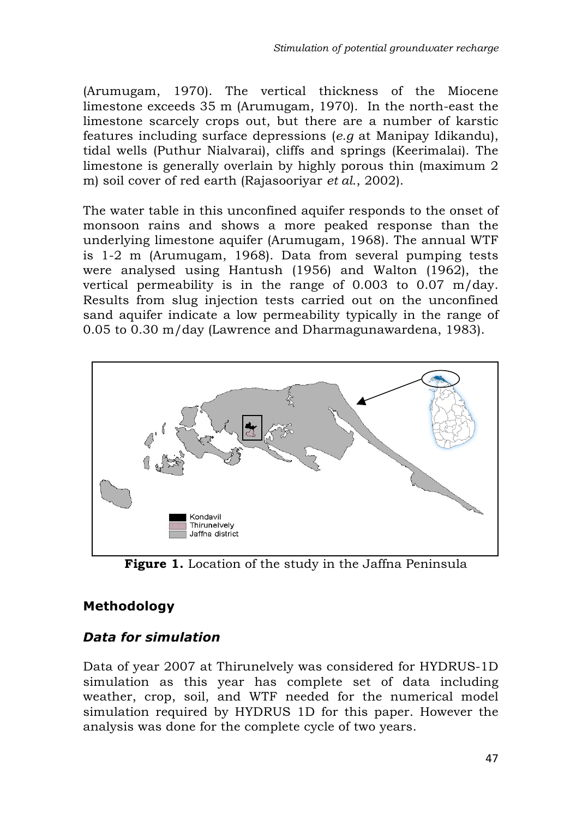(Arumugam, 1970). The vertical thickness of the Miocene limestone exceeds 35 m (Arumugam, 1970). In the north-east the limestone scarcely crops out, but there are a number of karstic features including surface depressions (*e.g* at Manipay Idikandu), tidal wells (Puthur Nialvarai), cliffs and springs (Keerimalai). The limestone is generally overlain by highly porous thin (maximum 2 m) soil cover of red earth (Rajasooriyar *et al*., 2002).

The water table in this unconfined aquifer responds to the onset of monsoon rains and shows a more peaked response than the underlying limestone aquifer (Arumugam, 1968). The annual WTF is 1-2 m (Arumugam, 1968). Data from several pumping tests were analysed using Hantush (1956) and Walton (1962), the vertical permeability is in the range of 0.003 to 0.07 m/day. Results from slug injection tests carried out on the unconfined sand aquifer indicate a low permeability typically in the range of 0.05 to 0.30 m/day (Lawrence and Dharmagunawardena, 1983).



**Figure 1.** Location of the study in the Jaffna Peninsula

## **Methodology**

### *Data for simulation*

Data of year 2007 at Thirunelvely was considered for HYDRUS-1D simulation as this year has complete set of data including weather, crop, soil, and WTF needed for the numerical model simulation required by HYDRUS 1D for this paper. However the analysis was done for the complete cycle of two years.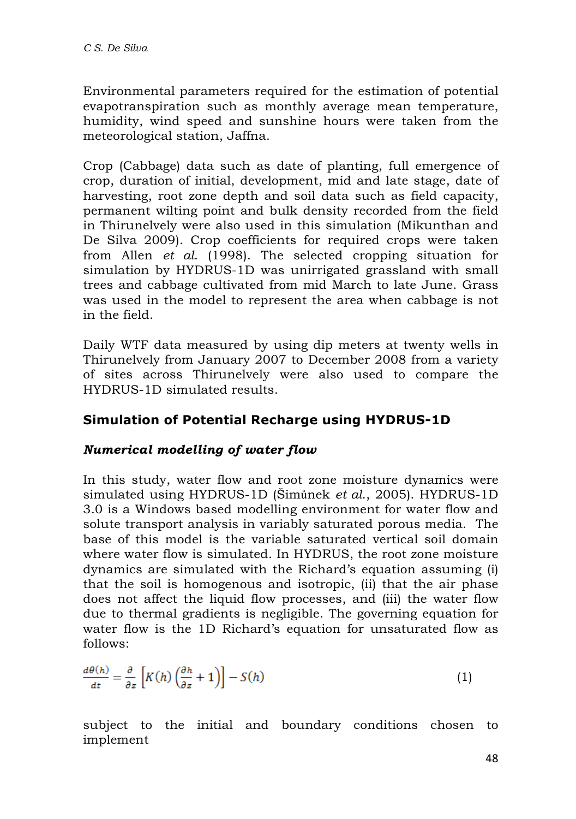Environmental parameters required for the estimation of potential evapotranspiration such as monthly average mean temperature, humidity, wind speed and sunshine hours were taken from the meteorological station, Jaffna.

Crop (Cabbage) data such as date of planting, full emergence of crop, duration of initial, development, mid and late stage, date of harvesting, root zone depth and soil data such as field capacity, permanent wilting point and bulk density recorded from the field in Thirunelvely were also used in this simulation (Mikunthan and De Silva 2009). Crop coefficients for required crops were taken from Allen *et al*. (1998). The selected cropping situation for simulation by HYDRUS-1D was unirrigated grassland with small trees and cabbage cultivated from mid March to late June. Grass was used in the model to represent the area when cabbage is not in the field.

Daily WTF data measured by using dip meters at twenty wells in Thirunelvely from January 2007 to December 2008 from a variety of sites across Thirunelvely were also used to compare the HYDRUS-1D simulated results.

## **Simulation of Potential Recharge using HYDRUS-1D**

### *Numerical modelling of water flow*

In this study, water flow and root zone moisture dynamics were simulated using HYDRUS-1D (Šimůnek *et al*., 2005). HYDRUS-1D 3.0 is a Windows based modelling environment for water flow and solute transport analysis in variably saturated porous media. The base of this model is the variable saturated vertical soil domain where water flow is simulated. In HYDRUS, the root zone moisture dynamics are simulated with the Richard's equation assuming (i) that the soil is homogenous and isotropic, (ii) that the air phase does not affect the liquid flow processes, and (iii) the water flow due to thermal gradients is negligible. The governing equation for water flow is the 1D Richard's equation for unsaturated flow as follows:

$$
\frac{d\theta(h)}{dt} = \frac{\partial}{\partial z} \left[ K(h) \left( \frac{\partial h}{\partial z} + 1 \right) \right] - S(h) \tag{1}
$$

subject to the initial and boundary conditions chosen to implement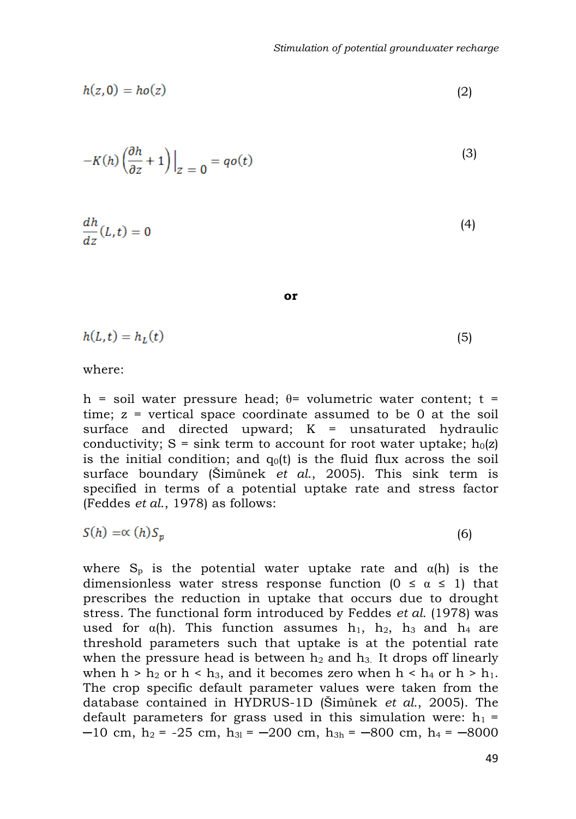$$
h(z,0) = ho(z) \tag{2}
$$

$$
-K(h)\left(\frac{\partial h}{\partial z} + 1\right)\Big|_{z=0} = qo(t) \tag{3}
$$

$$
\frac{dh}{dz}(L,t) = 0\tag{4}
$$

**or**

$$
h(L,t) = h_L(t) \tag{5}
$$

where:

h = soil water pressure head; θ= volumetric water content; t = time;  $z =$  vertical space coordinate assumed to be 0 at the soil surface and directed upward;  $K =$  unsaturated hydraulic conductivity;  $S = \sin k$  term to account for root water uptake;  $h_0(z)$ is the initial condition; and  $q_0(t)$  is the fluid flux across the soil surface boundary (Šimůnek *et al*., 2005). This sink term is specified in terms of a potential uptake rate and stress factor (Feddes *et al*., 1978) as follows:

$$
S(h) = \propto (h) S_p \tag{6}
$$

where  $S_p$  is the potential water uptake rate and  $\alpha(h)$  is the dimensionless water stress response function  $(0 \le \alpha \le 1)$  that prescribes the reduction in uptake that occurs due to drought stress. The functional form introduced by Feddes *et al.* (1978) was used for  $\alpha(h)$ . This function assumes h<sub>1</sub>, h<sub>2</sub>, h<sub>3</sub> and h<sub>4</sub> are threshold parameters such that uptake is at the potential rate when the pressure head is between  $h_2$  and  $h_3$ . It drops off linearly when  $h > h_2$  or  $h < h_3$ , and it becomes zero when  $h < h_4$  or  $h > h_1$ . The crop specific default parameter values were taken from the database contained in HYDRUS-1D (Šimůnek *et al*., 2005). The default parameters for grass used in this simulation were:  $h_1$  =  $-10$  cm, h<sub>2</sub> =  $-25$  cm, h<sub>3l</sub> =  $-200$  cm, h<sub>3h</sub> =  $-800$  cm, h<sub>4</sub> =  $-8000$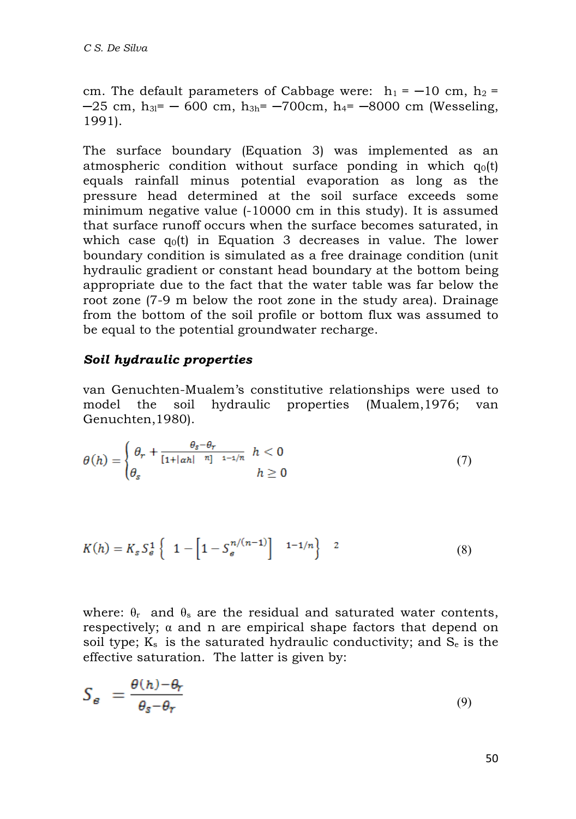cm. The default parameters of Cabbage were:  $h_1 = -10$  cm,  $h_2 =$  $-25$  cm, h<sub>3l</sub>=  $-600$  cm, h<sub>3h</sub> =  $-700$ cm, h<sub>4</sub> =  $-8000$  cm (Wesseling, 1991).

The surface boundary (Equation 3) was implemented as an atmospheric condition without surface ponding in which  $q_0(t)$ equals rainfall minus potential evaporation as long as the pressure head determined at the soil surface exceeds some minimum negative value (-10000 cm in this study). It is assumed that surface runoff occurs when the surface becomes saturated, in which case  $q_0(t)$  in Equation 3 decreases in value. The lower boundary condition is simulated as a free drainage condition (unit hydraulic gradient or constant head boundary at the bottom being appropriate due to the fact that the water table was far below the root zone (7-9 m below the root zone in the study area). Drainage from the bottom of the soil profile or bottom flux was assumed to be equal to the potential groundwater recharge.

#### *Soil hydraulic properties*

van Genuchten-Mualem's constitutive relationships were used to model the soil hydraulic properties (Mualem,1976; van Genuchten,1980).

$$
\theta(h) = \begin{cases} \theta_r + \frac{\theta_s - \theta_r}{\left[1 + |\alpha h| \right]^{\eta_1} - 1 - 1/\eta} & h < 0 \\ \theta_s & h \ge 0 \end{cases}
$$
(7)

$$
K(h) = K_s S_e^1 \left\{ 1 - \left[ 1 - S_e^{n/(n-1)} \right]^{n-1/n} \right\} 2 \tag{8}
$$

where:  $\theta_r$  and  $\theta_s$  are the residual and saturated water contents, respectively; α and n are empirical shape factors that depend on soil type;  $K_s$  is the saturated hydraulic conductivity; and  $S_e$  is the effective saturation. The latter is given by:

$$
S_{\epsilon} = \frac{\theta(h) - \theta_r}{\theta_s - \theta_r} \tag{9}
$$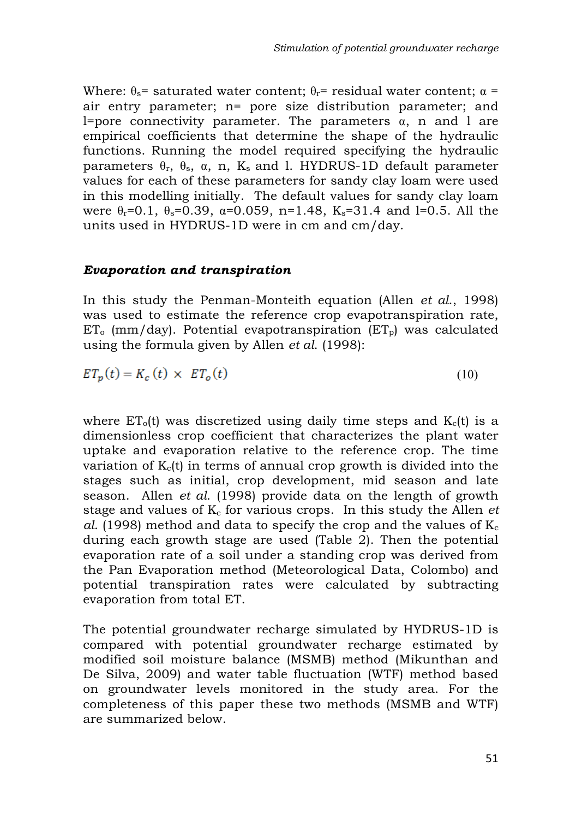Where:  $\theta_s$ = saturated water content;  $\theta_r$ = residual water content;  $\alpha$  = air entry parameter; n= pore size distribution parameter; and l=pore connectivity parameter. The parameters  $\alpha$ , n and l are empirical coefficients that determine the shape of the hydraulic functions. Running the model required specifying the hydraulic parameters  $\theta_r$ ,  $\theta_s$ ,  $\alpha$ , n, K<sub>s</sub> and l. HYDRUS-1D default parameter values for each of these parameters for sandy clay loam were used in this modelling initially. The default values for sandy clay loam were  $\theta_r = 0.1$ ,  $\theta_s = 0.39$ ,  $\alpha = 0.059$ ,  $n = 1.48$ ,  $K_s = 31.4$  and l=0.5. All the units used in HYDRUS-1D were in cm and cm/day.

#### *Evaporation and transpiration*

In this study the Penman-Monteith equation (Allen *et al*., 1998) was used to estimate the reference crop evapotranspiration rate,  $ET_0$  (mm/day). Potential evapotranspiration ( $ET_0$ ) was calculated using the formula given by Allen *et al*. (1998):

$$
ET_p(t) = K_c(t) \times ET_o(t) \tag{10}
$$

where  $ET<sub>o</sub>(t)$  was discretized using daily time steps and  $K<sub>c</sub>(t)$  is a dimensionless crop coefficient that characterizes the plant water uptake and evaporation relative to the reference crop. The time variation of  $K<sub>c</sub>(t)$  in terms of annual crop growth is divided into the stages such as initial, crop development, mid season and late season. Allen *et al*. (1998) provide data on the length of growth stage and values of  $K<sub>c</sub>$  for various crops. In this study the Allen *et al.* (1998) method and data to specify the crop and the values of  $K_c$ during each growth stage are used (Table 2). Then the potential evaporation rate of a soil under a standing crop was derived from the Pan Evaporation method (Meteorological Data, Colombo) and potential transpiration rates were calculated by subtracting evaporation from total ET.

The potential groundwater recharge simulated by HYDRUS-1D is compared with potential groundwater recharge estimated by modified soil moisture balance (MSMB) method (Mikunthan and De Silva, 2009) and water table fluctuation (WTF) method based on groundwater levels monitored in the study area. For the completeness of this paper these two methods (MSMB and WTF) are summarized below.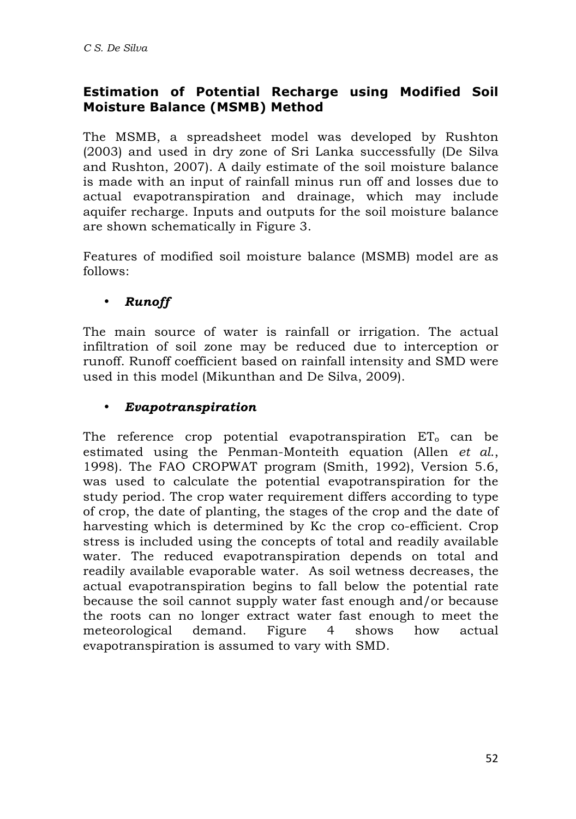# **Estimation of Potential Recharge using Modified Soil Moisture Balance (MSMB) Method**

The MSMB, a spreadsheet model was developed by Rushton (2003) and used in dry zone of Sri Lanka successfully (De Silva and Rushton, 2007). A daily estimate of the soil moisture balance is made with an input of rainfall minus run off and losses due to actual evapotranspiration and drainage, which may include aquifer recharge. Inputs and outputs for the soil moisture balance are shown schematically in Figure 3.

Features of modified soil moisture balance (MSMB) model are as follows:

### • *Runoff*

The main source of water is rainfall or irrigation. The actual infiltration of soil zone may be reduced due to interception or runoff. Runoff coefficient based on rainfall intensity and SMD were used in this model (Mikunthan and De Silva, 2009).

### • *Evapotranspiration*

The reference crop potential evapotranspiration  $ET_0$  can be estimated using the Penman-Monteith equation (Allen *et al*., 1998). The FAO CROPWAT program (Smith, 1992), Version 5.6, was used to calculate the potential evapotranspiration for the study period. The crop water requirement differs according to type of crop, the date of planting, the stages of the crop and the date of harvesting which is determined by Kc the crop co-efficient. Crop stress is included using the concepts of total and readily available water. The reduced evapotranspiration depends on total and readily available evaporable water. As soil wetness decreases, the actual evapotranspiration begins to fall below the potential rate because the soil cannot supply water fast enough and/or because the roots can no longer extract water fast enough to meet the meteorological demand. Figure 4 shows how actual evapotranspiration is assumed to vary with SMD.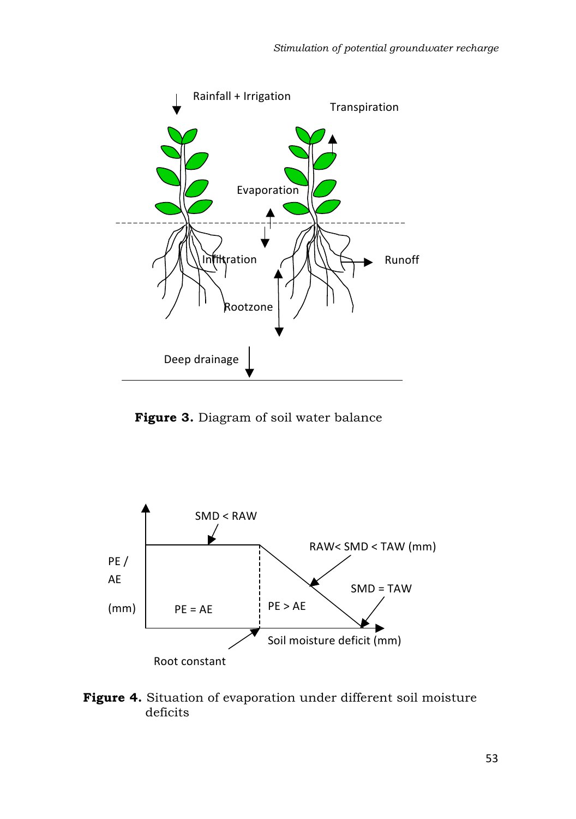

 **Figure 3.** Diagram of soil water balance



**Figure 4.** Situation of evaporation under different soil moisture deficits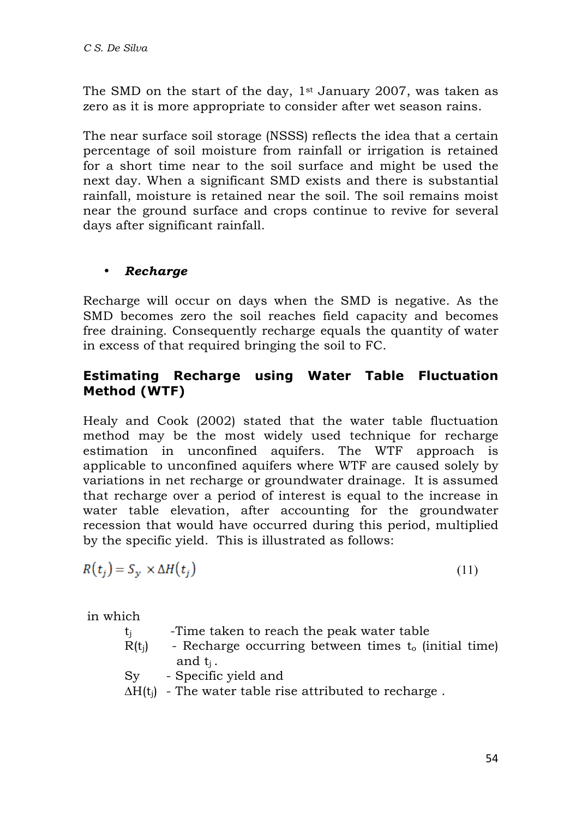The SMD on the start of the day,  $1<sup>st</sup>$  January 2007, was taken as zero as it is more appropriate to consider after wet season rains.

The near surface soil storage (NSSS) reflects the idea that a certain percentage of soil moisture from rainfall or irrigation is retained for a short time near to the soil surface and might be used the next day. When a significant SMD exists and there is substantial rainfall, moisture is retained near the soil. The soil remains moist near the ground surface and crops continue to revive for several days after significant rainfall.

### • *Recharge*

Recharge will occur on days when the SMD is negative. As the SMD becomes zero the soil reaches field capacity and becomes free draining. Consequently recharge equals the quantity of water in excess of that required bringing the soil to FC.

## **Estimating Recharge using Water Table Fluctuation Method (WTF)**

Healy and Cook (2002) stated that the water table fluctuation method may be the most widely used technique for recharge estimation in unconfined aquifers. The WTF approach is applicable to unconfined aquifers where WTF are caused solely by variations in net recharge or groundwater drainage. It is assumed that recharge over a period of interest is equal to the increase in water table elevation, after accounting for the groundwater recession that would have occurred during this period, multiplied by the specific yield. This is illustrated as follows:

$$
R(t_j) = S_{\mathcal{Y}} \times \Delta H(t_j) \tag{11}
$$

in which

- $t_i$  -Time taken to reach the peak water table
- $R(t_i)$  Recharge occurring between times  $t_0$  (initial time) and  $t_i$ .
- Sy Specific yield and

 $\Delta H(t_i)$  - The water table rise attributed to recharge.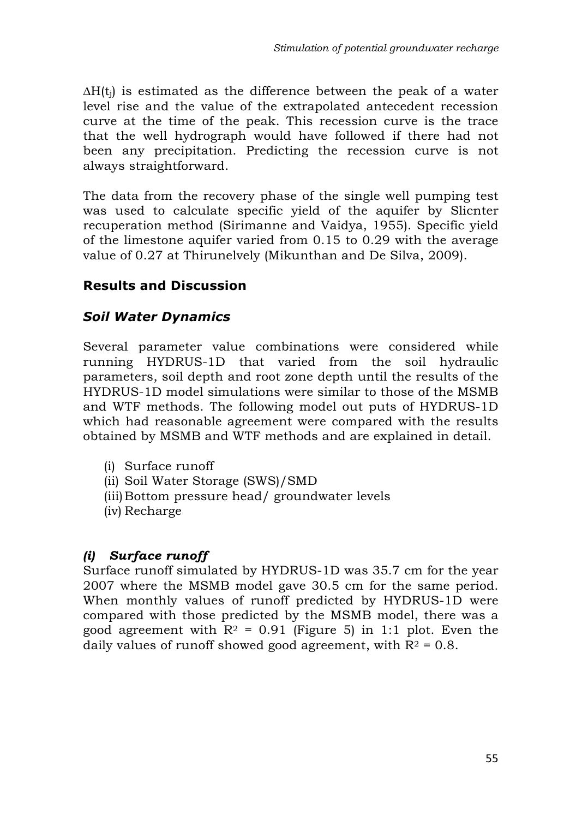$\Delta H(t_i)$  is estimated as the difference between the peak of a water level rise and the value of the extrapolated antecedent recession curve at the time of the peak. This recession curve is the trace that the well hydrograph would have followed if there had not been any precipitation. Predicting the recession curve is not always straightforward.

The data from the recovery phase of the single well pumping test was used to calculate specific yield of the aquifer by Slicnter recuperation method (Sirimanne and Vaidya, 1955). Specific yield of the limestone aquifer varied from 0.15 to 0.29 with the average value of 0.27 at Thirunelvely (Mikunthan and De Silva, 2009).

### **Results and Discussion**

### *Soil Water Dynamics*

Several parameter value combinations were considered while running HYDRUS-1D that varied from the soil hydraulic parameters, soil depth and root zone depth until the results of the HYDRUS-1D model simulations were similar to those of the MSMB and WTF methods. The following model out puts of HYDRUS-1D which had reasonable agreement were compared with the results obtained by MSMB and WTF methods and are explained in detail.

- (i) Surface runoff
- (ii) Soil Water Storage (SWS)/SMD
- (iii)Bottom pressure head/ groundwater levels
- (iv) Recharge

### *(i) Surface runoff*

Surface runoff simulated by HYDRUS-1D was 35.7 cm for the year 2007 where the MSMB model gave 30.5 cm for the same period. When monthly values of runoff predicted by HYDRUS-1D were compared with those predicted by the MSMB model, there was a good agreement with  $R^2 = 0.91$  (Figure 5) in 1:1 plot. Even the daily values of runoff showed good agreement, with  $R^2 = 0.8$ .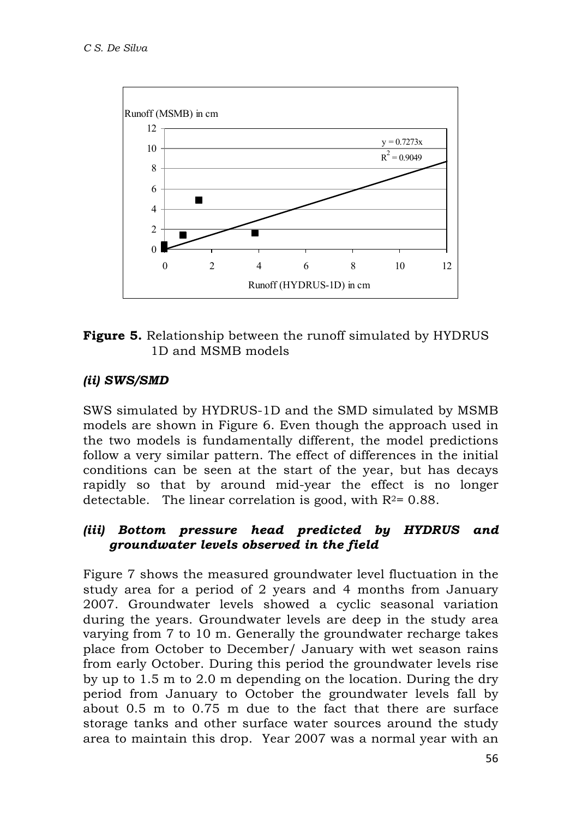



### *(ii) SWS/SMD*

SWS simulated by HYDRUS-1D and the SMD simulated by MSMB models are shown in Figure 6. Even though the approach used in the two models is fundamentally different, the model predictions follow a very similar pattern. The effect of differences in the initial conditions can be seen at the start of the year, but has decays rapidly so that by around mid-year the effect is no longer detectable. The linear correlation is good, with  $R<sup>2</sup> = 0.88$ .

### *(iii) Bottom pressure head predicted by HYDRUS and groundwater levels observed in the field*

Figure 7 shows the measured groundwater level fluctuation in the study area for a period of 2 years and 4 months from January 2007. Groundwater levels showed a cyclic seasonal variation during the years. Groundwater levels are deep in the study area varying from 7 to 10 m. Generally the groundwater recharge takes place from October to December/ January with wet season rains from early October. During this period the groundwater levels rise by up to 1.5 m to 2.0 m depending on the location. During the dry period from January to October the groundwater levels fall by about 0.5 m to 0.75 m due to the fact that there are surface storage tanks and other surface water sources around the study area to maintain this drop. Year 2007 was a normal year with an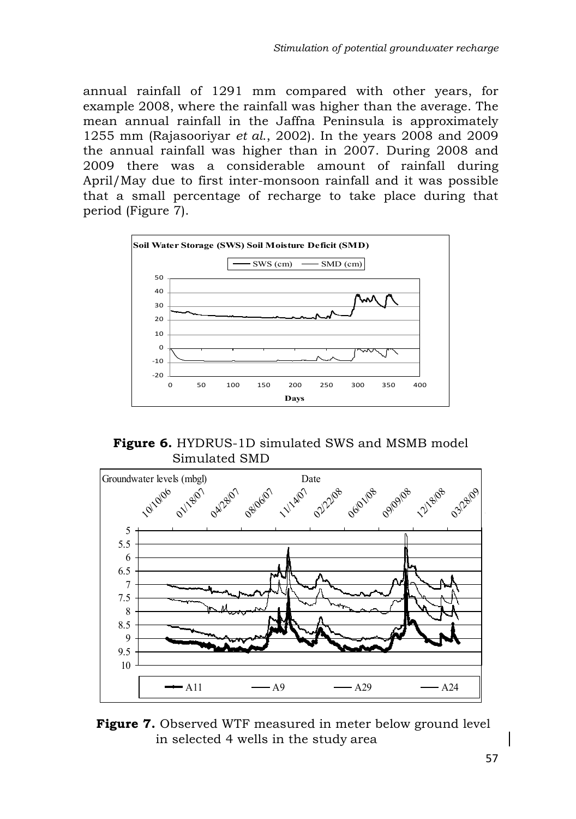annual rainfall of 1291 mm compared with other years, for example 2008, where the rainfall was higher than the average. The mean annual rainfall in the Jaffna Peninsula is approximately 1255 mm (Rajasooriyar *et al*., 2002). In the years 2008 and 2009 the annual rainfall was higher than in 2007. During 2008 and 2009 there was a considerable amount of rainfall during April/May due to first inter-monsoon rainfall and it was possible that a small percentage of recharge to take place during that period (Figure 7).



**Figure 6.** HYDRUS-1D simulated SWS and MSMB model Simulated SMD



**Figure 7.** Observed WTF measured in meter below ground level in selected 4 wells in the study area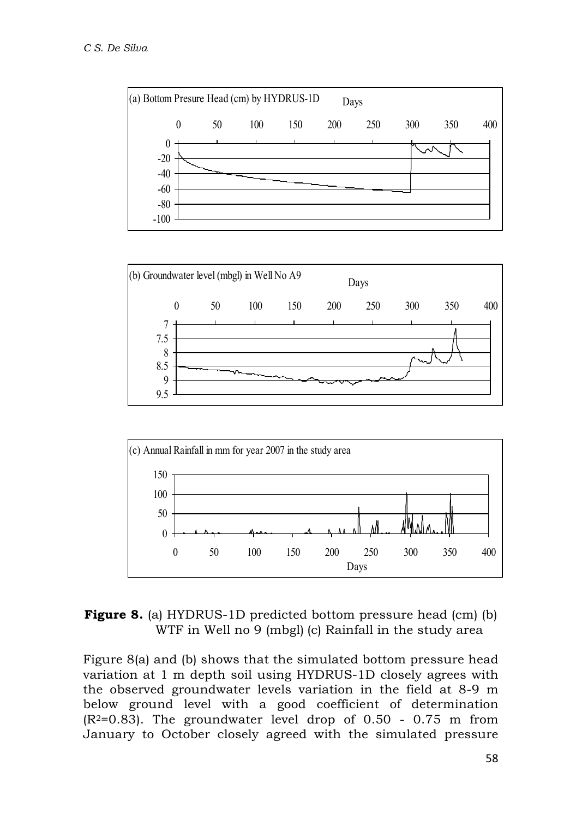





**Figure 8.** (a) HYDRUS-1D predicted bottom pressure head (cm) (b) WTF in Well no 9 (mbgl) (c) Rainfall in the study area

Figure 8(a) and (b) shows that the simulated bottom pressure head variation at 1 m depth soil using HYDRUS-1D closely agrees with the observed groundwater levels variation in the field at 8-9 m below ground level with a good coefficient of determination  $(R<sup>2</sup>=0.83)$ . The groundwater level drop of 0.50 - 0.75 m from January to October closely agreed with the simulated pressure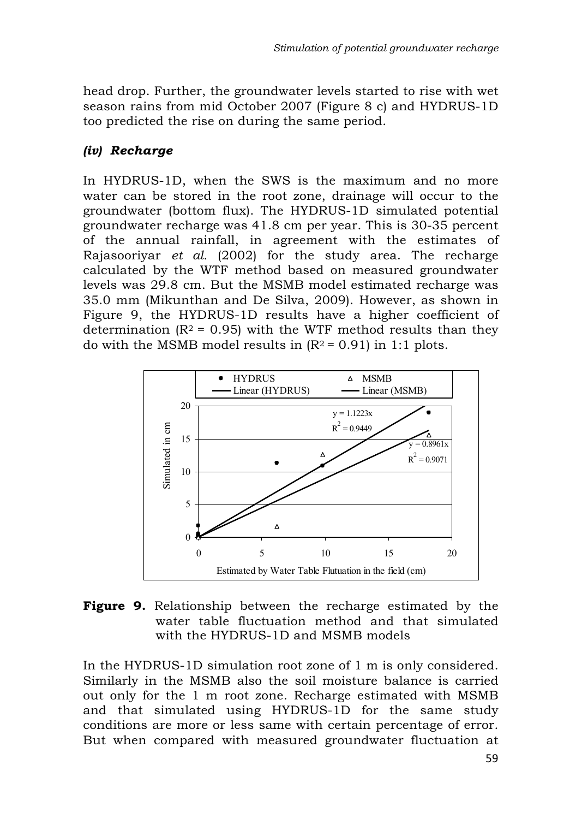head drop. Further, the groundwater levels started to rise with wet season rains from mid October 2007 (Figure 8 c) and HYDRUS-1D too predicted the rise on during the same period.

### *(iv) Recharge*

In HYDRUS-1D, when the SWS is the maximum and no more water can be stored in the root zone, drainage will occur to the groundwater (bottom flux). The HYDRUS-1D simulated potential groundwater recharge was 41.8 cm per year. This is 30-35 percent of the annual rainfall, in agreement with the estimates of Rajasooriyar *et al.* (2002) for the study area. The recharge calculated by the WTF method based on measured groundwater levels was 29.8 cm. But the MSMB model estimated recharge was 35.0 mm (Mikunthan and De Silva, 2009). However, as shown in Figure 9, the HYDRUS-1D results have a higher coefficient of determination ( $R^2$  = 0.95) with the WTF method results than they do with the MSMB model results in  $(R^2 = 0.91)$  in 1:1 plots.



**Figure 9.** Relationship between the recharge estimated by the water table fluctuation method and that simulated with the HYDRUS-1D and MSMB models

In the HYDRUS-1D simulation root zone of 1 m is only considered. Similarly in the MSMB also the soil moisture balance is carried out only for the 1 m root zone. Recharge estimated with MSMB and that simulated using HYDRUS-1D for the same study conditions are more or less same with certain percentage of error. But when compared with measured groundwater fluctuation at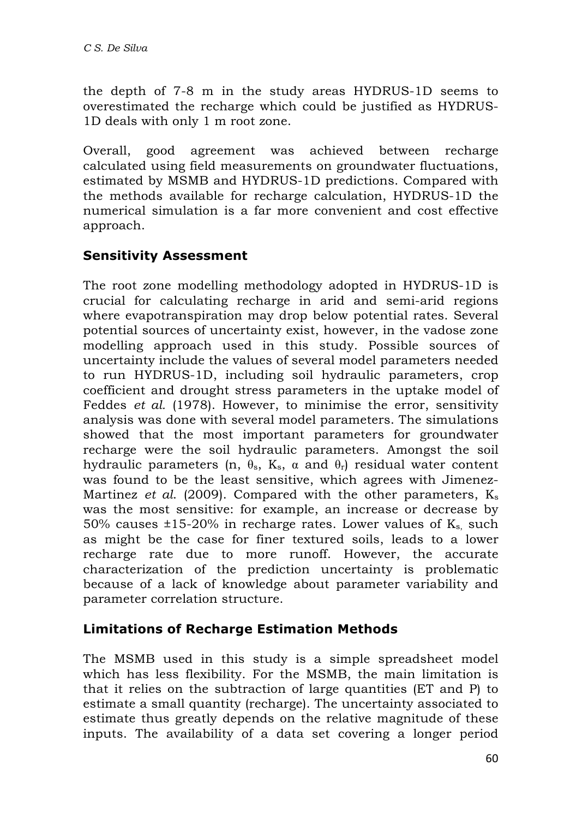the depth of 7-8 m in the study areas HYDRUS-1D seems to overestimated the recharge which could be justified as HYDRUS-1D deals with only 1 m root zone.

Overall, good agreement was achieved between recharge calculated using field measurements on groundwater fluctuations, estimated by MSMB and HYDRUS-1D predictions. Compared with the methods available for recharge calculation, HYDRUS-1D the numerical simulation is a far more convenient and cost effective approach.

# **Sensitivity Assessment**

The root zone modelling methodology adopted in HYDRUS-1D is crucial for calculating recharge in arid and semi-arid regions where evapotranspiration may drop below potential rates. Several potential sources of uncertainty exist, however, in the vadose zone modelling approach used in this study. Possible sources of uncertainty include the values of several model parameters needed to run HYDRUS-1D, including soil hydraulic parameters, crop coefficient and drought stress parameters in the uptake model of Feddes *et al.* (1978). However, to minimise the error, sensitivity analysis was done with several model parameters. The simulations showed that the most important parameters for groundwater recharge were the soil hydraulic parameters. Amongst the soil hydraulic parameters (n,  $θ_8$ , K<sub>s</sub>, α and  $θ_1$ ) residual water content was found to be the least sensitive, which agrees with Jimenez-Martinez *et al.* (2009). Compared with the other parameters, K<sub>s</sub> was the most sensitive: for example, an increase or decrease by 50% causes  $\pm$ 15-20% in recharge rates. Lower values of K<sub>s,</sub> such as might be the case for finer textured soils, leads to a lower recharge rate due to more runoff. However, the accurate characterization of the prediction uncertainty is problematic because of a lack of knowledge about parameter variability and parameter correlation structure.

## **Limitations of Recharge Estimation Methods**

The MSMB used in this study is a simple spreadsheet model which has less flexibility. For the MSMB, the main limitation is that it relies on the subtraction of large quantities (ET and P) to estimate a small quantity (recharge). The uncertainty associated to estimate thus greatly depends on the relative magnitude of these inputs. The availability of a data set covering a longer period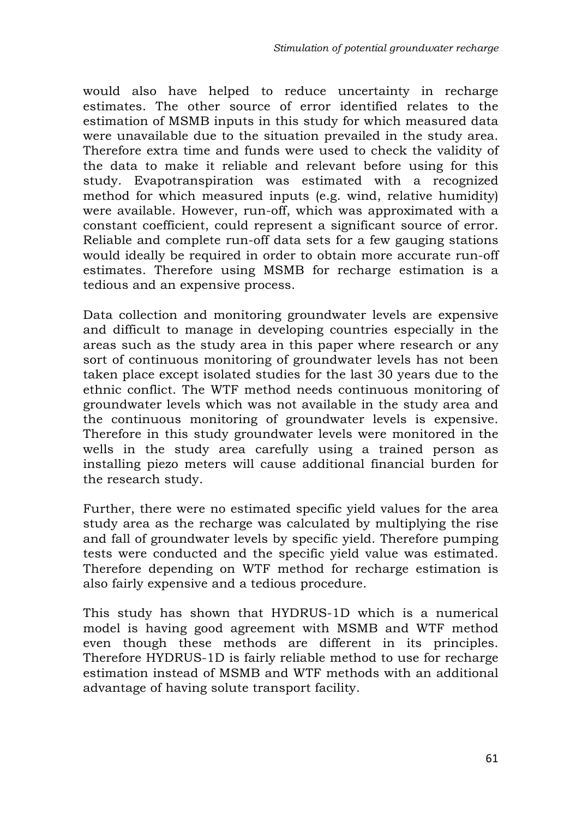would also have helped to reduce uncertainty in recharge estimates. The other source of error identified relates to the estimation of MSMB inputs in this study for which measured data were unavailable due to the situation prevailed in the study area. Therefore extra time and funds were used to check the validity of the data to make it reliable and relevant before using for this study. Evapotranspiration was estimated with a recognized method for which measured inputs (e.g. wind, relative humidity) were available. However, run-off, which was approximated with a constant coefficient, could represent a significant source of error. Reliable and complete run-off data sets for a few gauging stations would ideally be required in order to obtain more accurate run-off estimates. Therefore using MSMB for recharge estimation is a tedious and an expensive process.

Data collection and monitoring groundwater levels are expensive and difficult to manage in developing countries especially in the areas such as the study area in this paper where research or any sort of continuous monitoring of groundwater levels has not been taken place except isolated studies for the last 30 years due to the ethnic conflict. The WTF method needs continuous monitoring of groundwater levels which was not available in the study area and the continuous monitoring of groundwater levels is expensive. Therefore in this study groundwater levels were monitored in the wells in the study area carefully using a trained person as installing piezo meters will cause additional financial burden for the research study.

Further, there were no estimated specific yield values for the area study area as the recharge was calculated by multiplying the rise and fall of groundwater levels by specific yield. Therefore pumping tests were conducted and the specific yield value was estimated. Therefore depending on WTF method for recharge estimation is also fairly expensive and a tedious procedure.

This study has shown that HYDRUS-1D which is a numerical model is having good agreement with MSMB and WTF method even though these methods are different in its principles. Therefore HYDRUS-1D is fairly reliable method to use for recharge estimation instead of MSMB and WTF methods with an additional advantage of having solute transport facility.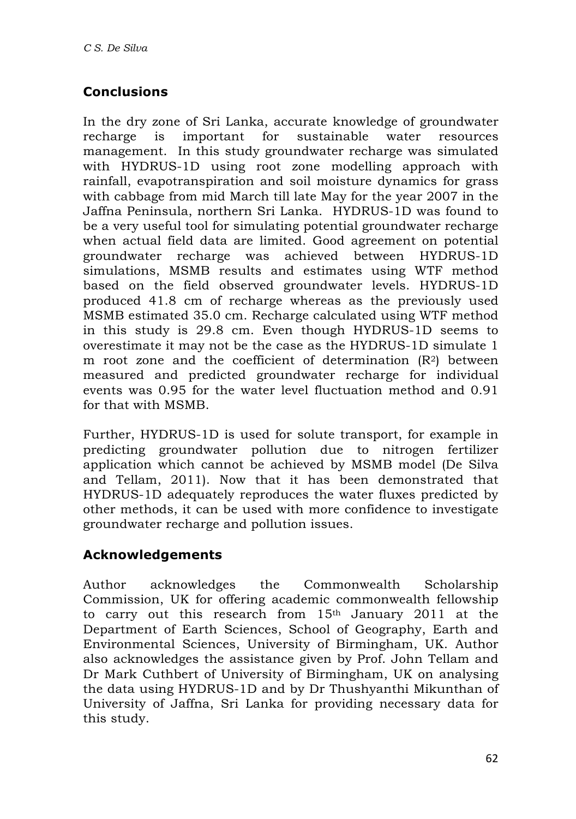# **Conclusions**

In the dry zone of Sri Lanka, accurate knowledge of groundwater recharge is important for sustainable water resources management. In this study groundwater recharge was simulated with HYDRUS-1D using root zone modelling approach with rainfall, evapotranspiration and soil moisture dynamics for grass with cabbage from mid March till late May for the year 2007 in the Jaffna Peninsula, northern Sri Lanka. HYDRUS-1D was found to be a very useful tool for simulating potential groundwater recharge when actual field data are limited. Good agreement on potential groundwater recharge was achieved between HYDRUS-1D simulations, MSMB results and estimates using WTF method based on the field observed groundwater levels. HYDRUS-1D produced 41.8 cm of recharge whereas as the previously used MSMB estimated 35.0 cm. Recharge calculated using WTF method in this study is 29.8 cm. Even though HYDRUS-1D seems to overestimate it may not be the case as the HYDRUS-1D simulate 1 m root zone and the coefficient of determination (R2) between measured and predicted groundwater recharge for individual events was 0.95 for the water level fluctuation method and 0.91 for that with MSMB.

Further, HYDRUS-1D is used for solute transport, for example in predicting groundwater pollution due to nitrogen fertilizer application which cannot be achieved by MSMB model (De Silva and Tellam, 2011). Now that it has been demonstrated that HYDRUS-1D adequately reproduces the water fluxes predicted by other methods, it can be used with more confidence to investigate groundwater recharge and pollution issues.

# **Acknowledgements**

Author acknowledges the Commonwealth Scholarship Commission, UK for offering academic commonwealth fellowship to carry out this research from 15th January 2011 at the Department of Earth Sciences, School of Geography, Earth and Environmental Sciences, University of Birmingham, UK. Author also acknowledges the assistance given by Prof. John Tellam and Dr Mark Cuthbert of University of Birmingham, UK on analysing the data using HYDRUS-1D and by Dr Thushyanthi Mikunthan of University of Jaffna, Sri Lanka for providing necessary data for this study.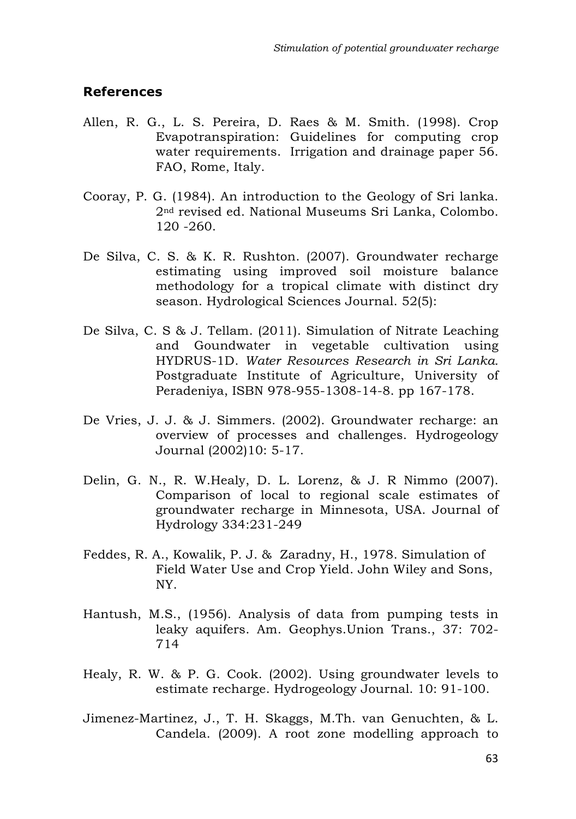#### **References**

- Allen, R. G., L. S. Pereira, D. Raes & M. Smith. (1998). Crop Evapotranspiration: Guidelines for computing crop water requirements. Irrigation and drainage paper 56. FAO, Rome, Italy.
- Cooray, P. G. (1984). An introduction to the Geology of Sri lanka. 2nd revised ed. National Museums Sri Lanka, Colombo. 120 -260.
- De Silva, C. S. & K. R. Rushton. (2007). Groundwater recharge estimating using improved soil moisture balance methodology for a tropical climate with distinct dry season. Hydrological Sciences Journal. 52(5):
- De Silva, C. S & J. Tellam. (2011). Simulation of Nitrate Leaching and Goundwater in vegetable cultivation using HYDRUS-1D. *Water Resources Research in Sri Lanka.*  Postgraduate Institute of Agriculture, University of Peradeniya, ISBN 978-955-1308-14-8. pp 167-178.
- De Vries, J. J. & J. Simmers. (2002). Groundwater recharge: an overview of processes and challenges. Hydrogeology Journal (2002)10: 5-17.
- Delin, G. N., R. W.Healy, D. L. Lorenz, & J. R Nimmo (2007). Comparison of local to regional scale estimates of groundwater recharge in Minnesota, USA. Journal of Hydrology 334:231-249
- Feddes, R. A., Kowalik, P. J. & Zaradny, H., 1978. Simulation of Field Water Use and Crop Yield. John Wiley and Sons, NY.
- Hantush, M.S., (1956). Analysis of data from pumping tests in leaky aquifers. Am. Geophys.Union Trans., 37: 702- 714
- Healy, R. W. & P. G. Cook. (2002). Using groundwater levels to estimate recharge. Hydrogeology Journal. 10: 91-100.
- Jimenez-Martinez, J., T. H. Skaggs, M.Th. van Genuchten, & L. Candela. (2009). A root zone modelling approach to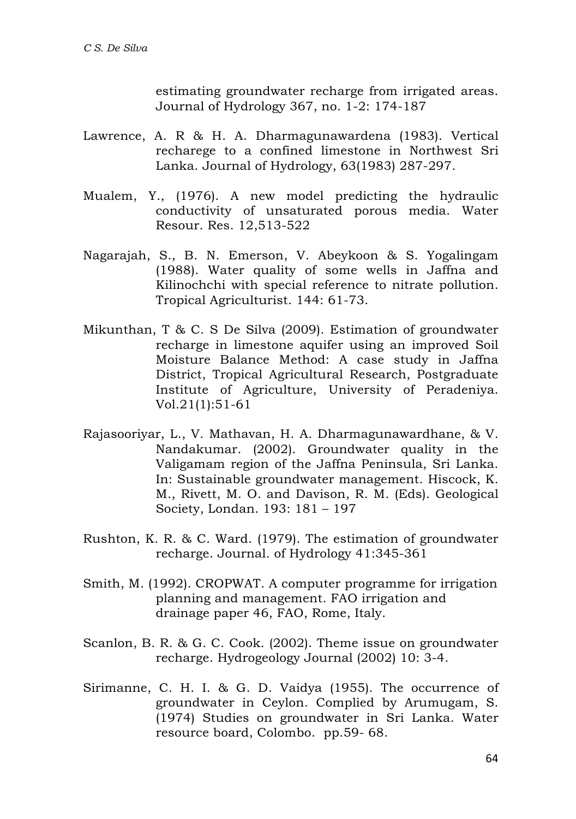estimating groundwater recharge from irrigated areas. Journal of Hydrology 367, no. 1-2: 174-187

- Lawrence, A. R & H. A. Dharmagunawardena (1983). Vertical recharege to a confined limestone in Northwest Sri Lanka. Journal of Hydrology, 63(1983) 287-297.
- Mualem, Y., (1976). A new model predicting the hydraulic conductivity of unsaturated porous media. Water Resour. Res. 12,513-522
- Nagarajah, S., B. N. Emerson, V. Abeykoon & S. Yogalingam (1988). Water quality of some wells in Jaffna and Kilinochchi with special reference to nitrate pollution. Tropical Agriculturist. 144: 61-73.
- Mikunthan, T & C. S De Silva (2009). Estimation of groundwater recharge in limestone aquifer using an improved Soil Moisture Balance Method: A case study in Jaffna District, Tropical Agricultural Research, Postgraduate Institute of Agriculture, University of Peradeniya. Vol.21(1):51-61
- Rajasooriyar, L., V. Mathavan, H. A. Dharmagunawardhane, & V. Nandakumar. (2002). Groundwater quality in the Valigamam region of the Jaffna Peninsula, Sri Lanka. In: Sustainable groundwater management. Hiscock, K. M., Rivett, M. O. and Davison, R. M. (Eds). Geological Society, Londan. 193: 181 – 197
- Rushton, K. R. & C. Ward. (1979). The estimation of groundwater recharge. Journal. of Hydrology 41:345-361
- Smith, M. (1992). CROPWAT. A computer programme for irrigation planning and management. FAO irrigation and drainage paper 46, FAO, Rome, Italy.
- Scanlon, B. R. & G. C. Cook. (2002). Theme issue on groundwater recharge. Hydrogeology Journal (2002) 10: 3-4.
- Sirimanne, C. H. I. & G. D. Vaidya (1955). The occurrence of groundwater in Ceylon. Complied by Arumugam, S. (1974) Studies on groundwater in Sri Lanka. Water resource board, Colombo. pp.59- 68.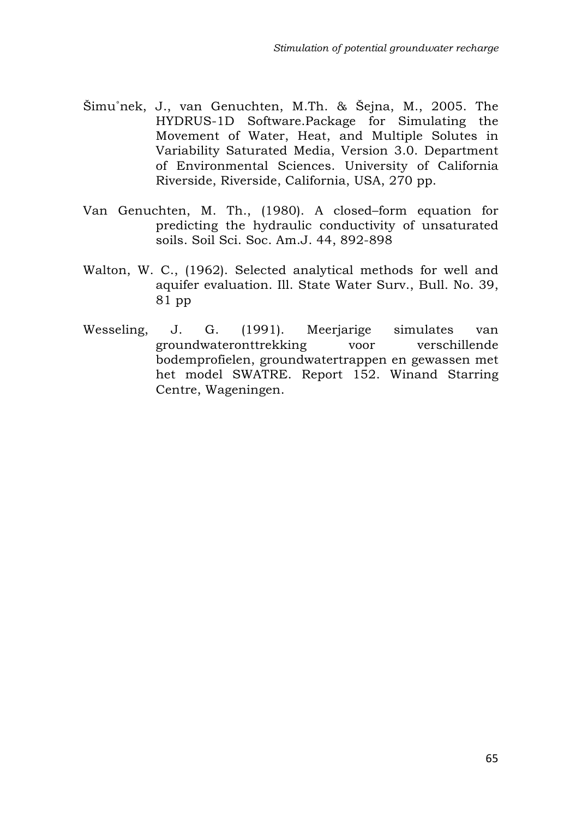- Šimu˚nek, J., van Genuchten, M.Th. & Šejna, M., 2005. The HYDRUS-1D Software.Package for Simulating the Movement of Water, Heat, and Multiple Solutes in Variability Saturated Media, Version 3.0. Department of Environmental Sciences. University of California Riverside, Riverside, California, USA, 270 pp.
- Van Genuchten, M. Th., (1980). A closed–form equation for predicting the hydraulic conductivity of unsaturated soils. Soil Sci. Soc. Am.J. 44, 892-898
- Walton, W. C., (1962). Selected analytical methods for well and aquifer evaluation. Ill. State Water Surv., Bull. No. 39, 81 pp
- Wesseling, J. G. (1991). Meerjarige simulates van groundwateronttrekking voor verschillende bodemprofielen, groundwatertrappen en gewassen met het model SWATRE. Report 152. Winand Starring Centre, Wageningen.